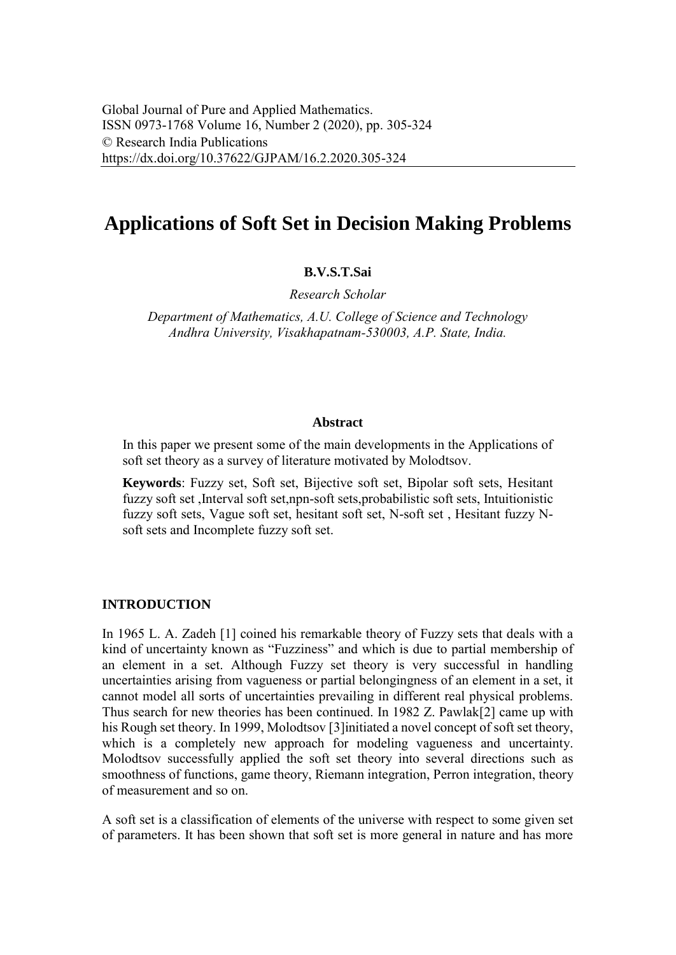# **Applications of Soft Set in Decision Making Problems**

# **B.V.S.T.Sai**

*Research Scholar* 

*Department of Mathematics, A.U. College of Science and Technology Andhra University, Visakhapatnam-530003, A.P. State, India.*

#### **Abstract**

In this paper we present some of the main developments in the Applications of soft set theory as a survey of literature motivated by Molodtsov.

**Keywords**: Fuzzy set, Soft set, Bijective soft set, Bipolar soft sets, Hesitant fuzzy soft set ,Interval soft set,npn-soft sets,probabilistic soft sets, Intuitionistic fuzzy soft sets, Vague soft set, hesitant soft set, N-soft set , Hesitant fuzzy Nsoft sets and Incomplete fuzzy soft set.

### **INTRODUCTION**

In 1965 L. A. Zadeh [1] coined his remarkable theory of Fuzzy sets that deals with a kind of uncertainty known as "Fuzziness" and which is due to partial membership of an element in a set. Although Fuzzy set theory is very successful in handling uncertainties arising from vagueness or partial belongingness of an element in a set, it cannot model all sorts of uncertainties prevailing in different real physical problems. Thus search for new theories has been continued. In 1982 Z. Pawlak[2] came up with his Rough set theory. In 1999, Molodtsov [3] initiated a novel concept of soft set theory, which is a completely new approach for modeling vagueness and uncertainty. Molodtsov successfully applied the soft set theory into several directions such as smoothness of functions, game theory, Riemann integration, Perron integration, theory of measurement and so on.

A soft set is a classification of elements of the universe with respect to some given set of parameters. It has been shown that soft set is more general in nature and has more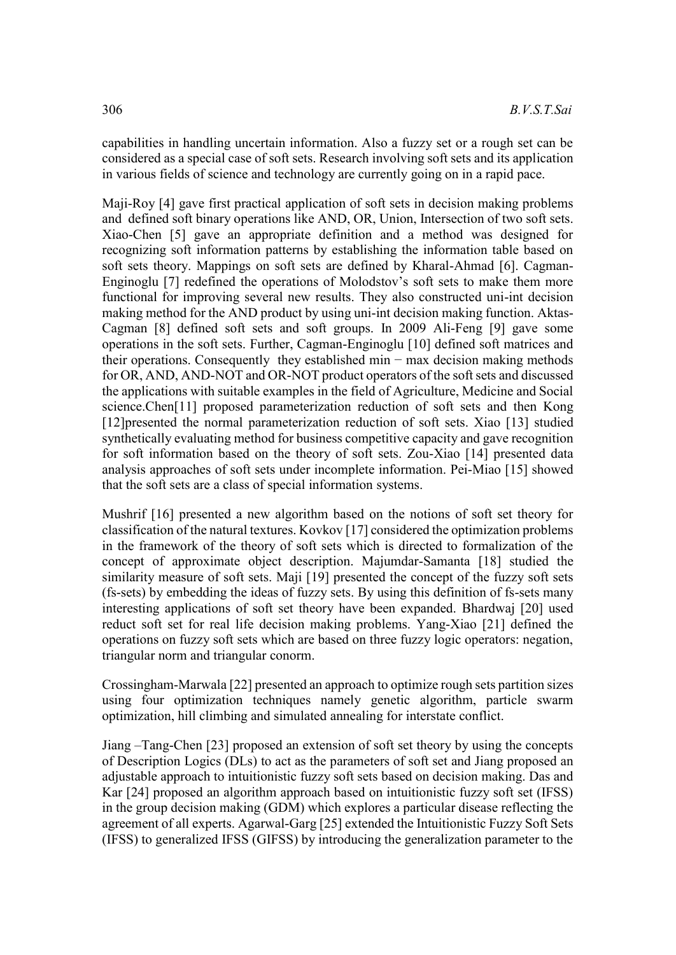capabilities in handling uncertain information. Also a fuzzy set or a rough set can be considered as a special case of soft sets. Research involving soft sets and its application in various fields of science and technology are currently going on in a rapid pace.

Maji-Roy [4] gave first practical application of soft sets in decision making problems and defined soft binary operations like AND, OR, Union, Intersection of two soft sets. Xiao-Chen [5] gave an appropriate definition and a method was designed for recognizing soft information patterns by establishing the information table based on soft sets theory. Mappings on soft sets are defined by Kharal-Ahmad [6]. Cagman-Enginoglu [7] redefined the operations of Molodstov's soft sets to make them more functional for improving several new results. They also constructed uni-int decision making method for the AND product by using uni-int decision making function. Aktas-Cagman [8] defined soft sets and soft groups. In 2009 Ali-Feng [9] gave some operations in the soft sets. Further, Cagman-Enginoglu [10] defined soft matrices and their operations. Consequently they established min − max decision making methods for OR, AND, AND-NOT and OR-NOT product operators of the soft sets and discussed the applications with suitable examples in the field of Agriculture, Medicine and Social science.Chen[11] proposed parameterization reduction of soft sets and then Kong [12]presented the normal parameterization reduction of soft sets. Xiao [13] studied synthetically evaluating method for business competitive capacity and gave recognition for soft information based on the theory of soft sets. Zou-Xiao [14] presented data analysis approaches of soft sets under incomplete information. Pei-Miao [15] showed that the soft sets are a class of special information systems.

Mushrif [16] presented a new algorithm based on the notions of soft set theory for classification of the natural textures. Kovkov [17] considered the optimization problems in the framework of the theory of soft sets which is directed to formalization of the concept of approximate object description. Majumdar-Samanta [18] studied the similarity measure of soft sets. Maji [19] presented the concept of the fuzzy soft sets (fs-sets) by embedding the ideas of fuzzy sets. By using this definition of fs-sets many interesting applications of soft set theory have been expanded. Bhardwaj [20] used reduct soft set for real life decision making problems. Yang-Xiao [21] defined the operations on fuzzy soft sets which are based on three fuzzy logic operators: negation, triangular norm and triangular conorm.

Crossingham-Marwala [22] presented an approach to optimize rough sets partition sizes using four optimization techniques namely genetic algorithm, particle swarm optimization, hill climbing and simulated annealing for interstate conflict.

Jiang –Tang-Chen [23] proposed an extension of soft set theory by using the concepts of Description Logics (DLs) to act as the parameters of soft set and Jiang proposed an adjustable approach to intuitionistic fuzzy soft sets based on decision making. Das and Kar [24] proposed an algorithm approach based on intuitionistic fuzzy soft set (IFSS) in the group decision making (GDM) which explores a particular disease reflecting the agreement of all experts. Agarwal-Garg [25] extended the Intuitionistic Fuzzy Soft Sets (IFSS) to generalized IFSS (GIFSS) by introducing the generalization parameter to the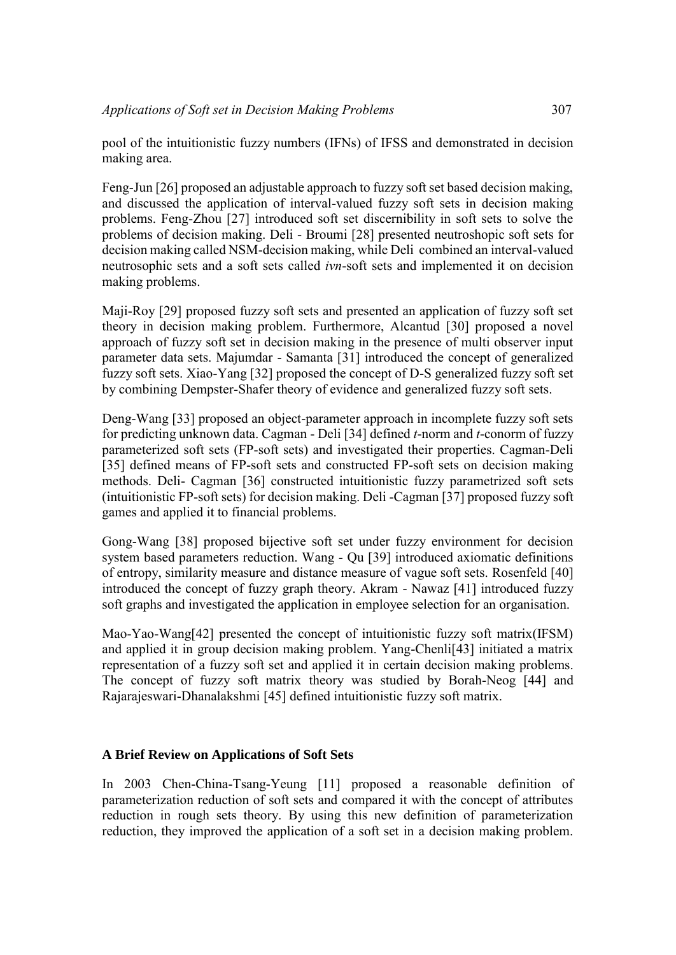pool of the intuitionistic fuzzy numbers (IFNs) of IFSS and demonstrated in decision making area.

Feng-Jun [26] proposed an adjustable approach to fuzzy soft set based decision making, and discussed the application of interval-valued fuzzy soft sets in decision making problems. Feng-Zhou [27] introduced soft set discernibility in soft sets to solve the problems of decision making. Deli - Broumi [28] presented neutroshopic soft sets for decision making called NSM-decision making, while Deli combined an interval-valued neutrosophic sets and a soft sets called *ivn*-soft sets and implemented it on decision making problems.

Maji-Roy [29] proposed fuzzy soft sets and presented an application of fuzzy soft set theory in decision making problem. Furthermore, Alcantud [30] proposed a novel approach of fuzzy soft set in decision making in the presence of multi observer input parameter data sets. Majumdar - Samanta [31] introduced the concept of generalized fuzzy soft sets. Xiao*-*Yang [32] proposed the concept of D-S generalized fuzzy soft set by combining Dempster-Shafer theory of evidence and generalized fuzzy soft sets.

Deng-Wang [33] proposed an object-parameter approach in incomplete fuzzy soft sets for predicting unknown data. Cagman - Deli [34] defined *t*-norm and *t*-conorm of fuzzy parameterized soft sets (FP-soft sets) and investigated their properties. Cagman-Deli [35] defined means of FP-soft sets and constructed FP-soft sets on decision making methods. Deli- Cagman [36] constructed intuitionistic fuzzy parametrized soft sets (intuitionistic FP-soft sets) for decision making. Deli -Cagman [37] proposed fuzzy soft games and applied it to financial problems.

Gong-Wang [38] proposed bijective soft set under fuzzy environment for decision system based parameters reduction. Wang - Qu [39] introduced axiomatic definitions of entropy, similarity measure and distance measure of vague soft sets. Rosenfeld [40] introduced the concept of fuzzy graph theory. Akram - Nawaz [41] introduced fuzzy soft graphs and investigated the application in employee selection for an organisation.

Mao-Yao-Wang[42] presented the concept of intuitionistic fuzzy soft matrix(IFSM) and applied it in group decision making problem. Yang-Chenli[43] initiated a matrix representation of a fuzzy soft set and applied it in certain decision making problems. The concept of fuzzy soft matrix theory was studied by Borah-Neog [44] and Rajarajeswari-Dhanalakshmi [45] defined intuitionistic fuzzy soft matrix.

# **A Brief Review on Applications of Soft Sets**

In 2003 Chen-China-Tsang-Yeung [11] proposed a reasonable definition of parameterization reduction of soft sets and compared it with the concept of attributes reduction in rough sets theory. By using this new definition of parameterization reduction, they improved the application of a soft set in a decision making problem.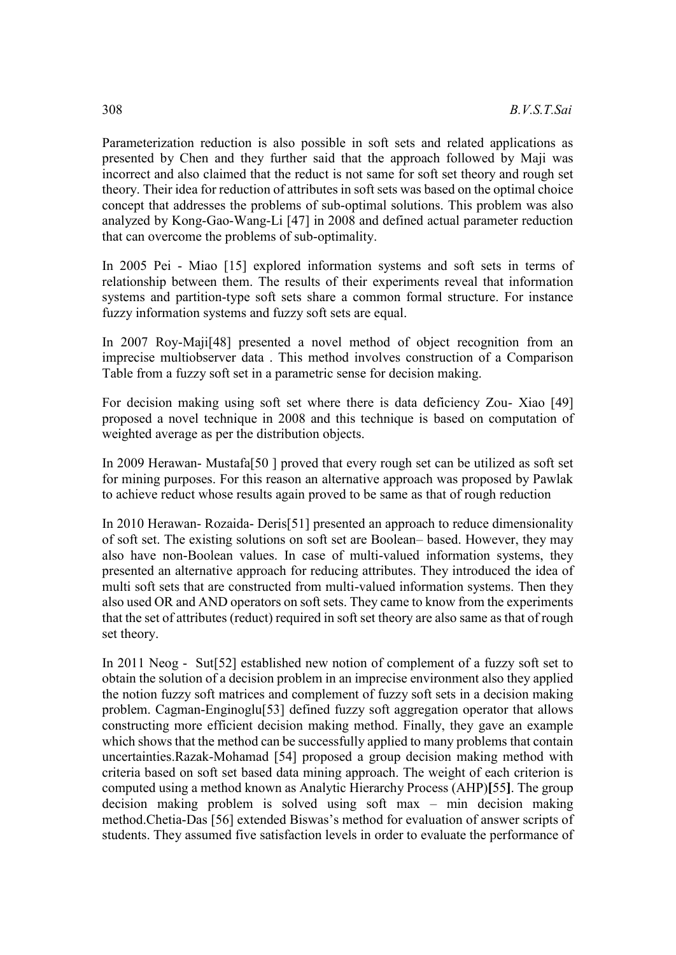Parameterization reduction is also possible in soft sets and related applications as presented by Chen and they further said that the approach followed by Maji was incorrect and also claimed that the reduct is not same for soft set theory and rough set theory. Their idea for reduction of attributes in soft sets was based on the optimal choice concept that addresses the problems of sub-optimal solutions. This problem was also analyzed by Kong-Gao-Wang-Li [47] in 2008 and defined actual parameter reduction that can overcome the problems of sub-optimality.

In 2005 Pei - Miao [15] explored information systems and soft sets in terms of relationship between them. The results of their experiments reveal that information systems and partition-type soft sets share a common formal structure. For instance fuzzy information systems and fuzzy soft sets are equal.

In 2007 Roy-Maji[48] presented a novel method of object recognition from an imprecise multiobserver data . This method involves construction of a Comparison Table from a fuzzy soft set in a parametric sense for decision making.

For decision making using soft set where there is data deficiency Zou- Xiao [49] proposed a novel technique in 2008 and this technique is based on computation of weighted average as per the distribution objects.

In 2009 Herawan- Mustafa[50 ] proved that every rough set can be utilized as soft set for mining purposes. For this reason an alternative approach was proposed by Pawlak to achieve reduct whose results again proved to be same as that of rough reduction

In 2010 Herawan- Rozaida- Deris[51] presented an approach to reduce dimensionality of soft set. The existing solutions on soft set are Boolean– based. However, they may also have non-Boolean values. In case of multi-valued information systems, they presented an alternative approach for reducing attributes. They introduced the idea of multi soft sets that are constructed from multi-valued information systems. Then they also used OR and AND operators on soft sets. They came to know from the experiments that the set of attributes (reduct) required in soft set theory are also same as that of rough set theory.

In 2011 Neog - Sut[52] established new notion of complement of a fuzzy soft set to obtain the solution of a decision problem in an imprecise environment also they applied the notion fuzzy soft matrices and complement of fuzzy soft sets in a decision making problem. Cagman-Enginoglu[53] defined fuzzy soft aggregation operator that allows constructing more efficient decision making method. Finally, they gave an example which shows that the method can be successfully applied to many problems that contain uncertainties.Razak-Mohamad [54] proposed a group decision making method with criteria based on soft set based data mining approach. The weight of each criterion is computed using a method known as Analytic Hierarchy Process (AHP)**[**55**]**. The group decision making problem is solved using soft max – min decision making method.Chetia-Das [56] extended Biswas's method for evaluation of answer scripts of students. They assumed five satisfaction levels in order to evaluate the performance of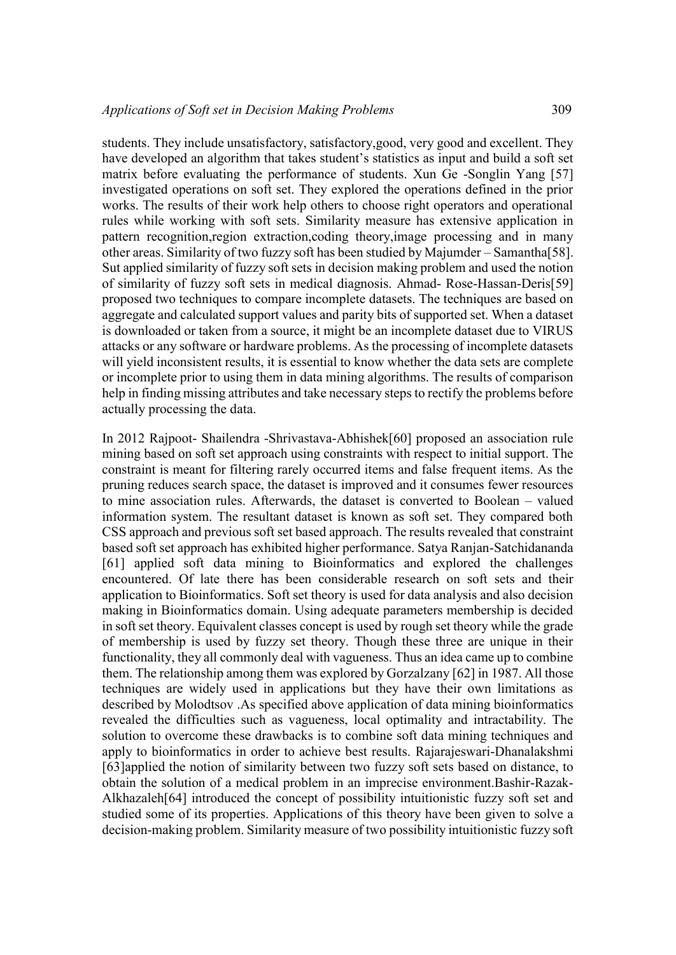students. They include unsatisfactory, satisfactory,good, very good and excellent. They have developed an algorithm that takes student's statistics as input and build a soft set matrix before evaluating the performance of students. Xun Ge -Songlin Yang [57] investigated operations on soft set. They explored the operations defined in the prior works. The results of their work help others to choose right operators and operational rules while working with soft sets. Similarity measure has extensive application in pattern recognition,region extraction,coding theory,image processing and in many other areas. Similarity of two fuzzy soft has been studied by Majumder – Samantha[58]. Sut applied similarity of fuzzy soft sets in decision making problem and used the notion of similarity of fuzzy soft sets in medical diagnosis. Ahmad- Rose-Hassan-Deris[59] proposed two techniques to compare incomplete datasets. The techniques are based on aggregate and calculated support values and parity bits of supported set. When a dataset is downloaded or taken from a source, it might be an incomplete dataset due to VIRUS attacks or any software or hardware problems. As the processing of incomplete datasets will yield inconsistent results, it is essential to know whether the data sets are complete or incomplete prior to using them in data mining algorithms. The results of comparison help in finding missing attributes and take necessary steps to rectify the problems before actually processing the data.

In 2012 Rajpoot- Shailendra -Shrivastava-Abhishek[60] proposed an association rule mining based on soft set approach using constraints with respect to initial support. The constraint is meant for filtering rarely occurred items and false frequent items. As the pruning reduces search space, the dataset is improved and it consumes fewer resources to mine association rules. Afterwards, the dataset is converted to Boolean – valued information system. The resultant dataset is known as soft set. They compared both CSS approach and previous soft set based approach. The results revealed that constraint based soft set approach has exhibited higher performance. Satya Ranjan-Satchidananda [61] applied soft data mining to Bioinformatics and explored the challenges encountered. Of late there has been considerable research on soft sets and their application to Bioinformatics. Soft set theory is used for data analysis and also decision making in Bioinformatics domain. Using adequate parameters membership is decided in soft set theory. Equivalent classes concept is used by rough set theory while the grade of membership is used by fuzzy set theory. Though these three are unique in their functionality, they all commonly deal with vagueness. Thus an idea came up to combine them. The relationship among them was explored by Gorzalzany [62] in 1987. All those techniques are widely used in applications but they have their own limitations as described by Molodtsov .As specified above application of data mining bioinformatics revealed the difficulties such as vagueness, local optimality and intractability. The solution to overcome these drawbacks is to combine soft data mining techniques and apply to bioinformatics in order to achieve best results. Rajarajeswari-Dhanalakshmi [63]applied the notion of similarity between two fuzzy soft sets based on distance, to obtain the solution of a medical problem in an imprecise environment.Bashir-Razak-Alkhazaleh[64] introduced the concept of possibility intuitionistic fuzzy soft set and studied some of its properties. Applications of this theory have been given to solve a decision-making problem. Similarity measure of two possibility intuitionistic fuzzy soft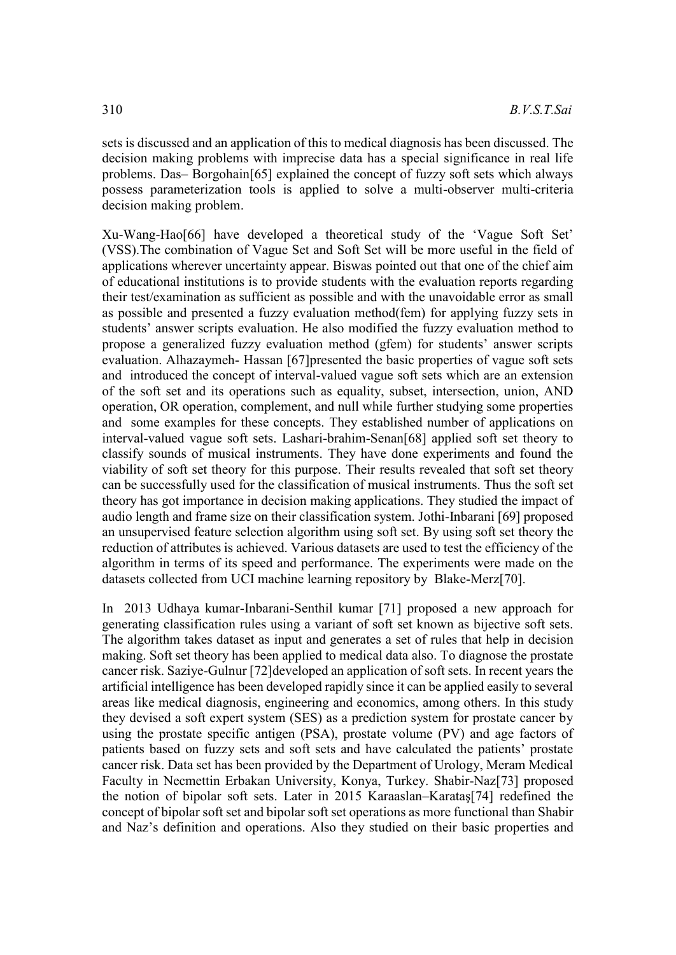sets is discussed and an application of this to medical diagnosis has been discussed. The decision making problems with imprecise data has a special significance in real life problems. Das– Borgohain[65] explained the concept of fuzzy soft sets which always possess parameterization tools is applied to solve a multi-observer multi-criteria decision making problem.

Xu-Wang-Hao[66] have developed a theoretical study of the 'Vague Soft Set' (VSS).The combination of Vague Set and Soft Set will be more useful in the field of applications wherever uncertainty appear. Biswas pointed out that one of the chief aim of educational institutions is to provide students with the evaluation reports regarding their test/examination as sufficient as possible and with the unavoidable error as small as possible and presented a fuzzy evaluation method(fem) for applying fuzzy sets in students' answer scripts evaluation. He also modified the fuzzy evaluation method to propose a generalized fuzzy evaluation method (gfem) for students' answer scripts evaluation. Alhazaymeh- Hassan [67]presented the basic properties of vague soft sets and introduced the concept of interval-valued vague soft sets which are an extension of the soft set and its operations such as equality, subset, intersection, union, AND operation, OR operation, complement, and null while further studying some properties and some examples for these concepts. They established number of applications on interval-valued vague soft sets. Lashari-brahim-Senan[68] applied soft set theory to classify sounds of musical instruments. They have done experiments and found the viability of soft set theory for this purpose. Their results revealed that soft set theory can be successfully used for the classification of musical instruments. Thus the soft set theory has got importance in decision making applications. They studied the impact of audio length and frame size on their classification system. Jothi-Inbarani [69] proposed an unsupervised feature selection algorithm using soft set. By using soft set theory the reduction of attributes is achieved. Various datasets are used to test the efficiency of the algorithm in terms of its speed and performance. The experiments were made on the datasets collected from UCI machine learning repository by Blake-Merz[70].

In 2013 Udhaya kumar-Inbarani-Senthil kumar [71] proposed a new approach for generating classification rules using a variant of soft set known as bijective soft sets. The algorithm takes dataset as input and generates a set of rules that help in decision making. Soft set theory has been applied to medical data also. To diagnose the prostate cancer risk. Saziye-Gulnur [72]developed an application of soft sets. In recent years the artificial intelligence has been developed rapidly since it can be applied easily to several areas like medical diagnosis, engineering and economics, among others. In this study they devised a soft expert system (SES) as a prediction system for prostate cancer by using the prostate specific antigen (PSA), prostate volume (PV) and age factors of patients based on fuzzy sets and soft sets and have calculated the patients' prostate cancer risk. Data set has been provided by the Department of Urology, Meram Medical Faculty in Necmettin Erbakan University, Konya, Turkey. Shabir-Naz[73] proposed the notion of bipolar soft sets. Later in 2015 Karaaslan–Karataş[74] redefined the concept of bipolar soft set and bipolar soft set operations as more functional than Shabir and Naz's definition and operations. Also they studied on their basic properties and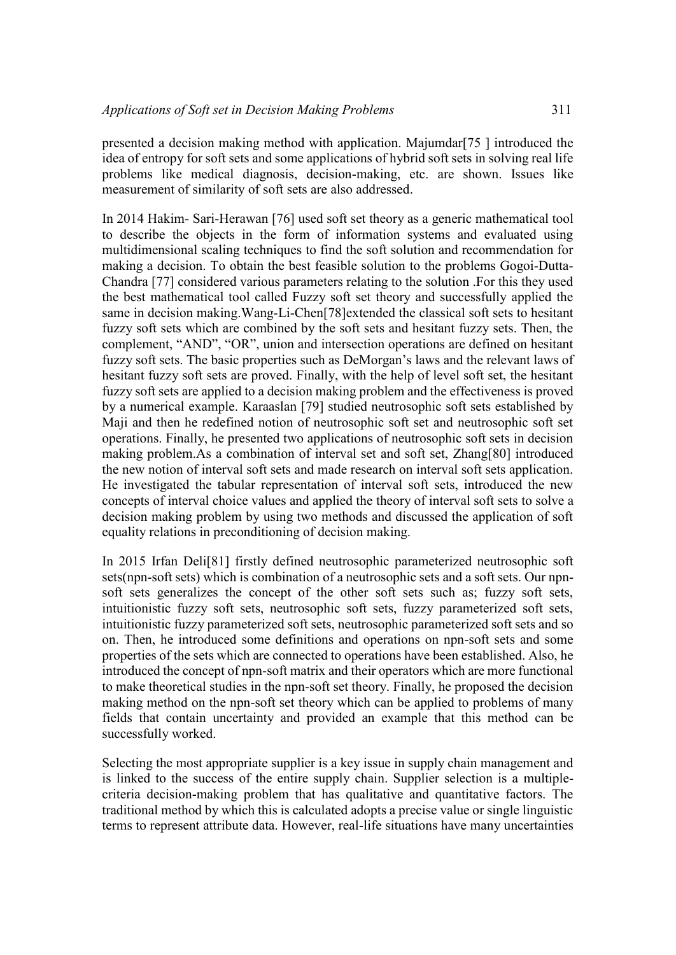presented a decision making method with application. Majumdar[75 ] introduced the idea of entropy for soft sets and some applications of hybrid soft sets in solving real life problems like medical diagnosis, decision-making, etc. are shown. Issues like measurement of similarity of soft sets are also addressed.

In 2014 Hakim- Sari-Herawan [76] used soft set theory as a generic mathematical tool to describe the objects in the form of information systems and evaluated using multidimensional scaling techniques to find the soft solution and recommendation for making a decision. To obtain the best feasible solution to the problems Gogoi-Dutta-Chandra [77] considered various parameters relating to the solution .For this they used the best mathematical tool called Fuzzy soft set theory and successfully applied the same in decision making.Wang-Li-Chen[78]extended the classical soft sets to hesitant fuzzy soft sets which are combined by the soft sets and hesitant fuzzy sets. Then, the complement, "AND", "OR", union and intersection operations are defined on hesitant fuzzy soft sets. The basic properties such as DeMorgan's laws and the relevant laws of hesitant fuzzy soft sets are proved. Finally, with the help of level soft set, the hesitant fuzzy soft sets are applied to a decision making problem and the effectiveness is proved by a numerical example. Karaaslan [79] studied neutrosophic soft sets established by Maji and then he redefined notion of neutrosophic soft set and neutrosophic soft set operations. Finally, he presented two applications of neutrosophic soft sets in decision making problem.As a combination of interval set and soft set, Zhang[80] introduced the new notion of interval soft sets and made research on interval soft sets application. He investigated the tabular representation of interval soft sets, introduced the new concepts of interval choice values and applied the theory of interval soft sets to solve a decision making problem by using two methods and discussed the application of soft equality relations in preconditioning of decision making.

In 2015 Irfan Deli[81] firstly defined neutrosophic parameterized neutrosophic soft sets(npn-soft sets) which is combination of a neutrosophic sets and a soft sets. Our npnsoft sets generalizes the concept of the other soft sets such as; fuzzy soft sets, intuitionistic fuzzy soft sets, neutrosophic soft sets, fuzzy parameterized soft sets, intuitionistic fuzzy parameterized soft sets, neutrosophic parameterized soft sets and so on. Then, he introduced some definitions and operations on npn-soft sets and some properties of the sets which are connected to operations have been established. Also, he introduced the concept of npn-soft matrix and their operators which are more functional to make theoretical studies in the npn-soft set theory. Finally, he proposed the decision making method on the npn-soft set theory which can be applied to problems of many fields that contain uncertainty and provided an example that this method can be successfully worked.

Selecting the most appropriate supplier is a key issue in supply chain management and is linked to the success of the entire supply chain. Supplier selection is a multiplecriteria decision-making problem that has qualitative and quantitative factors. The traditional method by which this is calculated adopts a precise value or single linguistic terms to represent attribute data. However, real-life situations have many uncertainties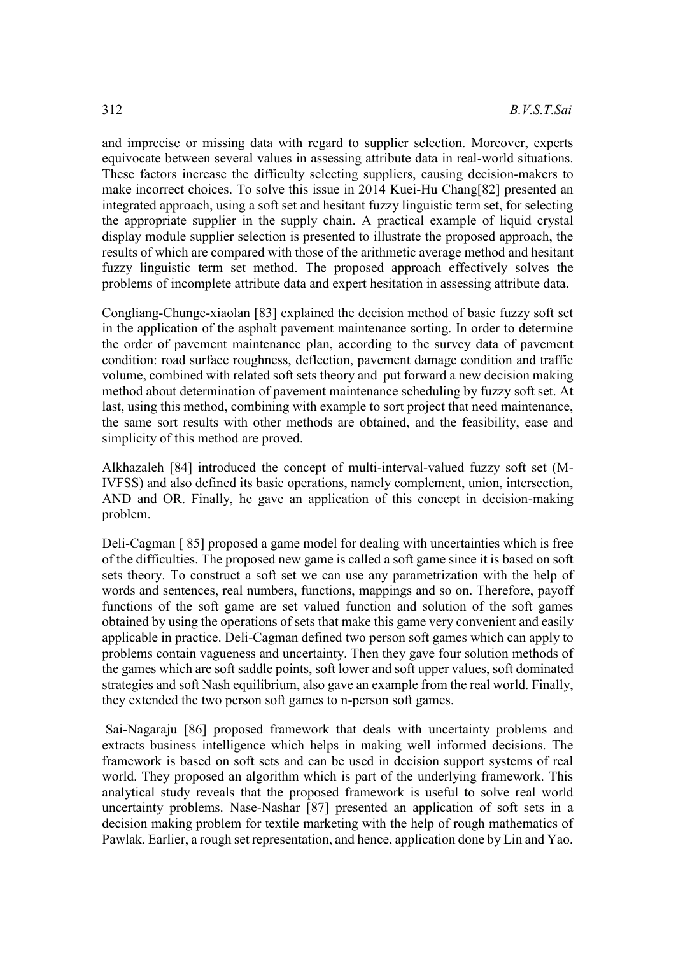and imprecise or missing data with regard to supplier selection. Moreover, experts equivocate between several values in assessing attribute data in real-world situations. These factors increase the difficulty selecting suppliers, causing decision-makers to make incorrect choices. To solve this issue in 2014 Kuei-Hu Chang[82] presented an integrated approach, using a soft set and hesitant fuzzy linguistic term set, for selecting the appropriate supplier in the supply chain. A practical example of liquid crystal display module supplier selection is presented to illustrate the proposed approach, the results of which are compared with those of the arithmetic average method and hesitant fuzzy linguistic term set method. The proposed approach effectively solves the problems of incomplete attribute data and expert hesitation in assessing attribute data.

Congliang-Chunge-xiaolan [83] explained the decision method of basic fuzzy soft set in the application of the asphalt pavement maintenance sorting. In order to determine the order of pavement maintenance plan, according to the survey data of pavement condition: road surface roughness, deflection, pavement damage condition and traffic volume, combined with related soft sets theory and put forward a new decision making method about determination of pavement maintenance scheduling by fuzzy soft set. At last, using this method, combining with example to sort project that need maintenance, the same sort results with other methods are obtained, and the feasibility, ease and simplicity of this method are proved.

Alkhazaleh [84] introduced the concept of multi-interval-valued fuzzy soft set (M-IVFSS) and also defined its basic operations, namely complement, union, intersection, AND and OR. Finally, he gave an application of this concept in decision-making problem.

Deli-Cagman [ 85] proposed a game model for dealing with uncertainties which is free of the difficulties. The proposed new game is called a soft game since it is based on soft sets theory. To construct a soft set we can use any parametrization with the help of words and sentences, real numbers, functions, mappings and so on. Therefore, payoff functions of the soft game are set valued function and solution of the soft games obtained by using the operations of sets that make this game very convenient and easily applicable in practice. Deli-Cagman defined two person soft games which can apply to problems contain vagueness and uncertainty. Then they gave four solution methods of the games which are soft saddle points, soft lower and soft upper values, soft dominated strategies and soft Nash equilibrium, also gave an example from the real world. Finally, they extended the two person soft games to n-person soft games.

Sai-Nagaraju [86] proposed framework that deals with uncertainty problems and extracts business intelligence which helps in making well informed decisions. The framework is based on soft sets and can be used in decision support systems of real world. They proposed an algorithm which is part of the underlying framework. This analytical study reveals that the proposed framework is useful to solve real world uncertainty problems. Nase-Nashar [87] presented an application of soft sets in a decision making problem for textile marketing with the help of rough mathematics of Pawlak. Earlier, a rough set representation, and hence, application done by Lin and Yao.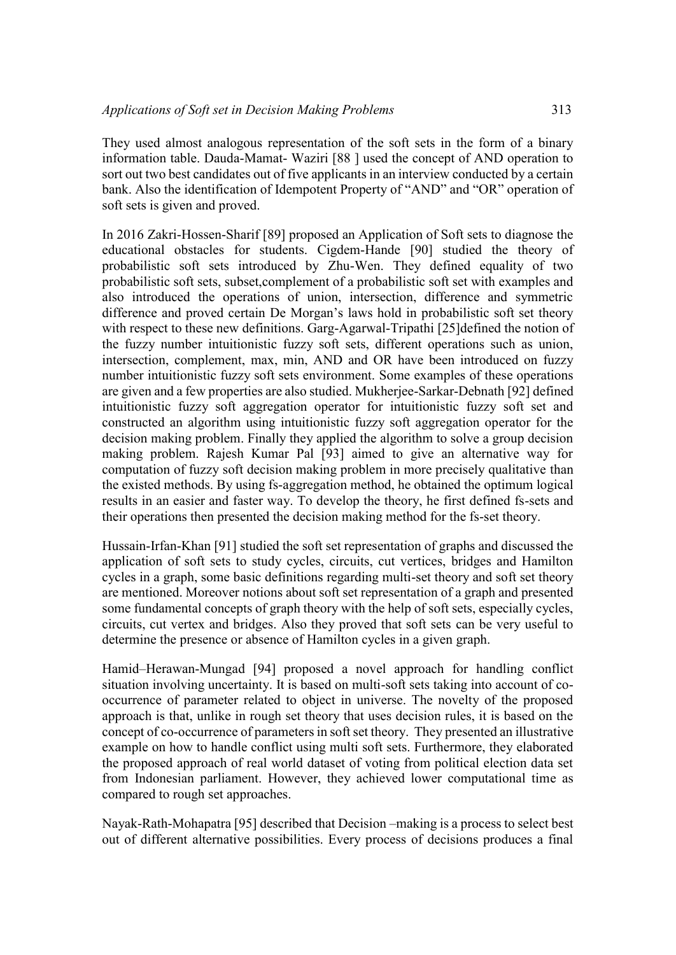They used almost analogous representation of the soft sets in the form of a binary information table. Dauda-Mamat- Waziri [88 ] used the concept of AND operation to sort out two best candidates out of five applicants in an interview conducted by a certain bank. Also the identification of Idempotent Property of "AND" and "OR" operation of soft sets is given and proved.

In 2016 Zakri-Hossen-Sharif [89] proposed an Application of Soft sets to diagnose the educational obstacles for students. Cigdem-Hande [90] studied the theory of probabilistic soft sets introduced by Zhu-Wen. They defined equality of two probabilistic soft sets, subset,complement of a probabilistic soft set with examples and also introduced the operations of union, intersection, difference and symmetric difference and proved certain De Morgan's laws hold in probabilistic soft set theory with respect to these new definitions. Garg-Agarwal-Tripathi [25] defined the notion of the fuzzy number intuitionistic fuzzy soft sets, different operations such as union, intersection, complement, max, min, AND and OR have been introduced on fuzzy number intuitionistic fuzzy soft sets environment. Some examples of these operations are given and a few properties are also studied. Mukherjee-Sarkar-Debnath [92] defined intuitionistic fuzzy soft aggregation operator for intuitionistic fuzzy soft set and constructed an algorithm using intuitionistic fuzzy soft aggregation operator for the decision making problem. Finally they applied the algorithm to solve a group decision making problem. Rajesh Kumar Pal [93] aimed to give an alternative way for computation of fuzzy soft decision making problem in more precisely qualitative than the existed methods. By using fs-aggregation method, he obtained the optimum logical results in an easier and faster way. To develop the theory, he first defined fs-sets and their operations then presented the decision making method for the fs-set theory.

Hussain-Irfan-Khan [91] studied the soft set representation of graphs and discussed the application of soft sets to study cycles, circuits, cut vertices, bridges and Hamilton cycles in a graph, some basic definitions regarding multi-set theory and soft set theory are mentioned. Moreover notions about soft set representation of a graph and presented some fundamental concepts of graph theory with the help of soft sets, especially cycles, circuits, cut vertex and bridges. Also they proved that soft sets can be very useful to determine the presence or absence of Hamilton cycles in a given graph.

Hamid–Herawan-Mungad [94] proposed a novel approach for handling conflict situation involving uncertainty. It is based on multi-soft sets taking into account of cooccurrence of parameter related to object in universe. The novelty of the proposed approach is that, unlike in rough set theory that uses decision rules, it is based on the concept of co-occurrence of parameters in soft set theory. They presented an illustrative example on how to handle conflict using multi soft sets. Furthermore, they elaborated the proposed approach of real world dataset of voting from political election data set from Indonesian parliament. However, they achieved lower computational time as compared to rough set approaches.

Nayak-Rath-Mohapatra [95] described that Decision –making is a process to select best out of different alternative possibilities. Every process of decisions produces a final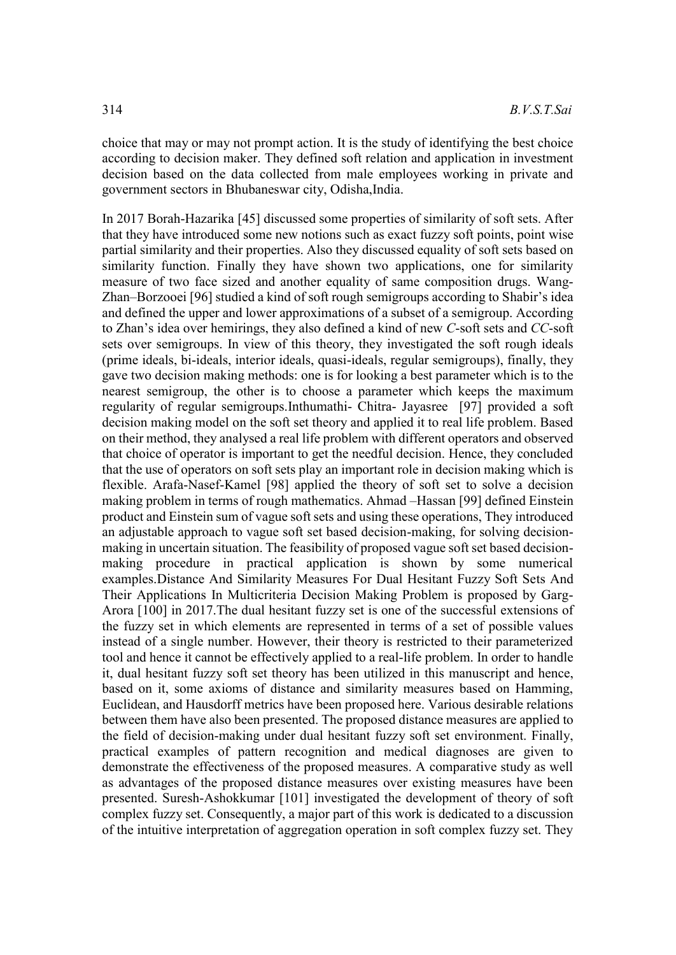choice that may or may not prompt action. It is the study of identifying the best choice according to decision maker. They defined soft relation and application in investment decision based on the data collected from male employees working in private and government sectors in Bhubaneswar city, Odisha,India.

In 2017 Borah-Hazarika [45] discussed some properties of similarity of soft sets. After that they have introduced some new notions such as exact fuzzy soft points, point wise partial similarity and their properties. Also they discussed equality of soft sets based on similarity function. Finally they have shown two applications, one for similarity measure of two face sized and another equality of same composition drugs. Wang-Zhan–Borzooei [96] studied a kind of soft rough semigroups according to Shabir's idea and defined the upper and lower approximations of a subset of a semigroup. According to Zhan's idea over hemirings, they also defined a kind of new *C*-soft sets and *CC*-soft sets over semigroups. In view of this theory, they investigated the soft rough ideals (prime ideals, bi-ideals, interior ideals, quasi-ideals, regular semigroups), finally, they gave two decision making methods: one is for looking a best parameter which is to the nearest semigroup, the other is to choose a parameter which keeps the maximum regularity of regular semigroups.Inthumathi- Chitra- Jayasree [97] provided a soft decision making model on the soft set theory and applied it to real life problem. Based on their method, they analysed a real life problem with different operators and observed that choice of operator is important to get the needful decision. Hence, they concluded that the use of operators on soft sets play an important role in decision making which is flexible. Arafa-Nasef-Kamel [98] applied the theory of soft set to solve a decision making problem in terms of rough mathematics. Ahmad –Hassan [99] defined Einstein product and Einstein sum of vague soft sets and using these operations, They introduced an adjustable approach to vague soft set based decision-making, for solving decisionmaking in uncertain situation. The feasibility of proposed vague soft set based decisionmaking procedure in practical application is shown by some numerical examples.Distance And Similarity Measures For Dual Hesitant Fuzzy Soft Sets And Their Applications In Multicriteria Decision Making Problem is proposed by Garg-Arora [100] in 2017.The dual hesitant fuzzy set is one of the successful extensions of the fuzzy set in which elements are represented in terms of a set of possible values instead of a single number. However, their theory is restricted to their parameterized tool and hence it cannot be effectively applied to a real-life problem. In order to handle it, dual hesitant fuzzy soft set theory has been utilized in this manuscript and hence, based on it, some axioms of distance and similarity measures based on Hamming, Euclidean, and Hausdorff metrics have been proposed here. Various desirable relations between them have also been presented. The proposed distance measures are applied to the field of decision-making under dual hesitant fuzzy soft set environment. Finally, practical examples of pattern recognition and medical diagnoses are given to demonstrate the effectiveness of the proposed measures. A comparative study as well as advantages of the proposed distance measures over existing measures have been presented. Suresh-Ashokkumar [101] investigated the development of theory of soft complex fuzzy set. Consequently, a major part of this work is dedicated to a discussion of the intuitive interpretation of aggregation operation in soft complex fuzzy set. They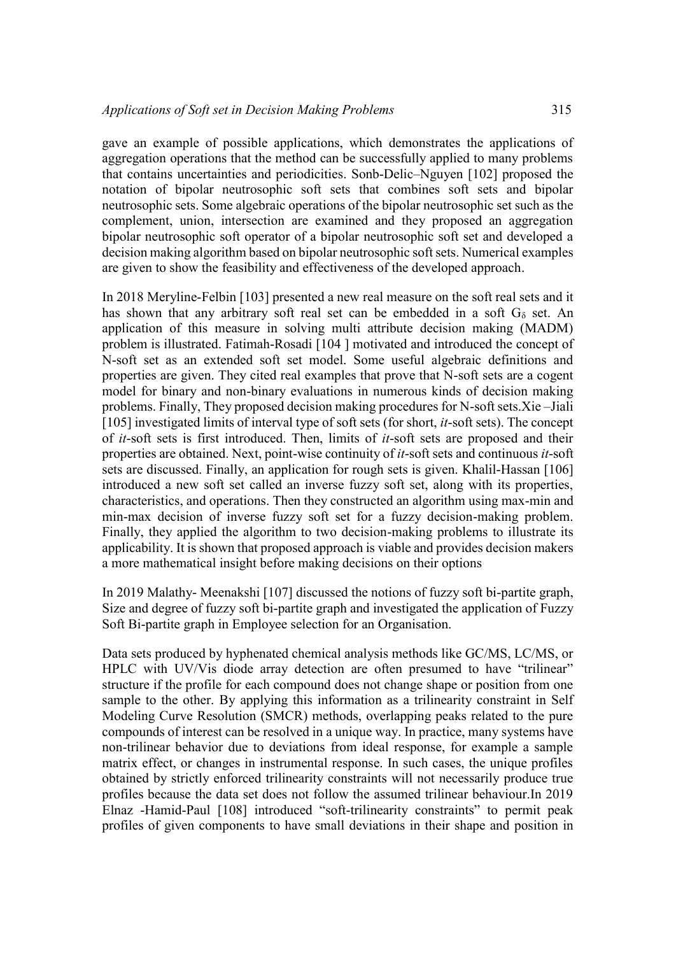gave an example of possible applications, which demonstrates the applications of aggregation operations that the method can be successfully applied to many problems that contains uncertainties and periodicities. Sonb-Delic–Nguyen [102] proposed the notation of bipolar neutrosophic soft sets that combines soft sets and bipolar neutrosophic sets. Some algebraic operations of the bipolar neutrosophic set such as the complement, union, intersection are examined and they proposed an aggregation bipolar neutrosophic soft operator of a bipolar neutrosophic soft set and developed a decision making algorithm based on bipolar neutrosophic soft sets. Numerical examples are given to show the feasibility and effectiveness of the developed approach.

In 2018 Meryline-Felbin [103] presented a new real measure on the soft real sets and it has shown that any arbitrary soft real set can be embedded in a soft  $G_{\delta}$  set. An application of this measure in solving multi attribute decision making (MADM) problem is illustrated. Fatimah-Rosadi [104 ] motivated and introduced the concept of N-soft set as an extended soft set model. Some useful algebraic definitions and properties are given. They cited real examples that prove that N-soft sets are a cogent model for binary and non-binary evaluations in numerous kinds of decision making problems. Finally, They proposed decision making procedures for N-soft sets.Xie –Jiali [105] investigated limits of interval type of soft sets (for short, *it*-soft sets). The concept of *it*-soft sets is first introduced. Then, limits of *it*-soft sets are proposed and their properties are obtained. Next, point-wise continuity of *it*-soft sets and continuous *it*-soft sets are discussed. Finally, an application for rough sets is given. Khalil-Hassan [106] introduced a new soft set called an inverse fuzzy soft set, along with its properties, characteristics, and operations. Then they constructed an algorithm using max-min and min-max decision of inverse fuzzy soft set for a fuzzy decision-making problem. Finally, they applied the algorithm to two decision-making problems to illustrate its applicability. It is shown that proposed approach is viable and provides decision makers a more mathematical insight before making decisions on their options

In 2019 Malathy- Meenakshi [107] discussed the notions of fuzzy soft bi-partite graph, Size and degree of fuzzy soft bi-partite graph and investigated the application of Fuzzy Soft Bi-partite graph in Employee selection for an Organisation.

Data sets produced by hyphenated chemical analysis methods like GC/MS, LC/MS, or HPLC with UV/Vis diode array detection are often presumed to have "trilinear" structure if the profile for each compound does not change shape or position from one sample to the other. By applying this information as a trilinearity constraint in Self Modeling Curve Resolution (SMCR) methods, overlapping peaks related to the pure compounds of interest can be resolved in a unique way. In practice, many systems have non-trilinear behavior due to deviations from ideal response, for example a sample matrix effect, or changes in instrumental response. In such cases, the unique profiles obtained by strictly enforced trilinearity constraints will not necessarily produce true profiles because the data set does not follow the assumed trilinear behaviour.In 2019 Elnaz -Hamid-Paul [108] introduced "soft-trilinearity constraints" to permit peak profiles of given components to have small deviations in their shape and position in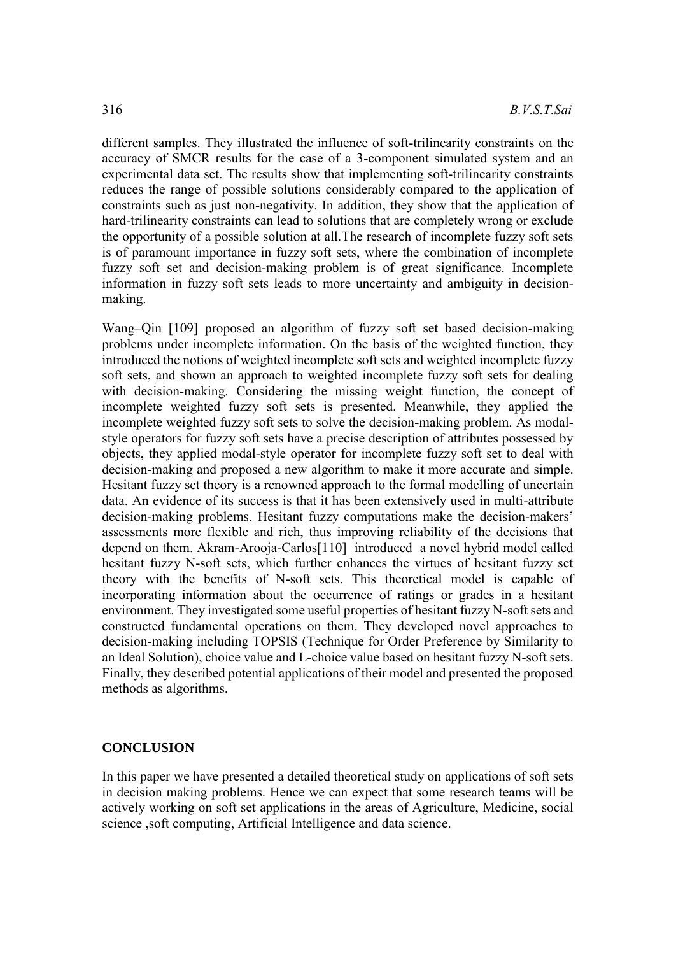different samples. They illustrated the influence of soft-trilinearity constraints on the accuracy of SMCR results for the case of a 3-component simulated system and an experimental data set. The results show that implementing soft-trilinearity constraints reduces the range of possible solutions considerably compared to the application of constraints such as just non-negativity. In addition, they show that the application of hard-trilinearity constraints can lead to solutions that are completely wrong or exclude the opportunity of a possible solution at all.The research of incomplete fuzzy soft sets is of paramount importance in fuzzy soft sets, where the combination of incomplete fuzzy soft set and decision-making problem is of great significance. Incomplete information in fuzzy soft sets leads to more uncertainty and ambiguity in decisionmaking.

Wang–Qin [109] proposed an algorithm of fuzzy soft set based decision-making problems under incomplete information. On the basis of the weighted function, they introduced the notions of weighted incomplete soft sets and weighted incomplete fuzzy soft sets, and shown an approach to weighted incomplete fuzzy soft sets for dealing with decision-making. Considering the missing weight function, the concept of incomplete weighted fuzzy soft sets is presented. Meanwhile, they applied the incomplete weighted fuzzy soft sets to solve the decision-making problem. As modalstyle operators for fuzzy soft sets have a precise description of attributes possessed by objects, they applied modal-style operator for incomplete fuzzy soft set to deal with decision-making and proposed a new algorithm to make it more accurate and simple. Hesitant fuzzy set theory is a renowned approach to the formal modelling of uncertain data. An evidence of its success is that it has been extensively used in multi-attribute decision-making problems. Hesitant fuzzy computations make the decision-makers' assessments more flexible and rich, thus improving reliability of the decisions that depend on them. Akram-Aroo[ja-](https://content.iospress.com/articles/journal-of-intelligent-and-fuzzy-systems/ifs181972#a)Carlos[110] introduced a novel hybrid model called hesitant fuzzy N-soft sets, which further enhances the virtues of hesitant fuzzy set theory with the benefits of N-soft sets. This theoretical model is capable of incorporating information about the occurrence of ratings or grades in a hesitant environment. They investigated some useful properties of hesitant fuzzy N-soft sets and constructed fundamental operations on them. They developed novel approaches to decision-making including TOPSIS (Technique for Order Preference by Similarity to an Ideal Solution), choice value and L-choice value based on hesitant fuzzy N-soft sets. Finally, they described potential applications of their model and presented the proposed methods as algorithms.

# **CONCLUSION**

In this paper we have presented a detailed theoretical study on applications of soft sets in decision making problems. Hence we can expect that some research teams will be actively working on soft set applications in the areas of Agriculture, Medicine, social science ,soft computing, Artificial Intelligence and data science.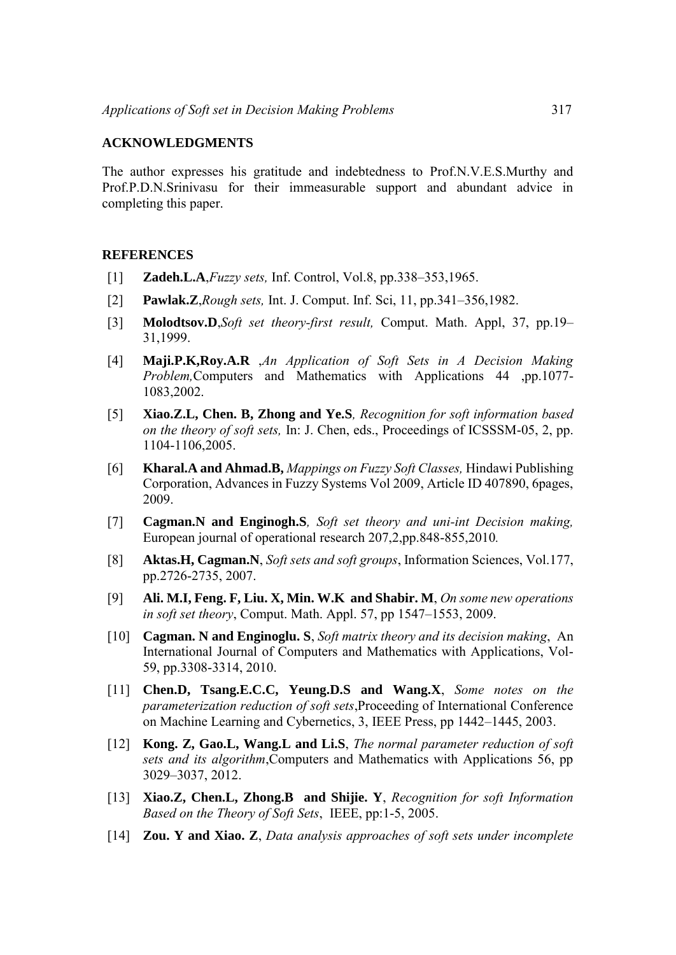#### **ACKNOWLEDGMENTS**

The author expresses his gratitude and indebtedness to Prof.N.V.E.S.Murthy and Prof.P.D.N.Srinivasu for their immeasurable support and abundant advice in completing this paper.

#### **REFERENCES**

- [1] **Zadeh.L.A**,*Fuzzy sets,* Inf. Control, Vol.8, pp.338–353,1965.
- [2] **Pawlak.Z**,*Rough sets,* Int. J. Comput. Inf. Sci, 11, pp.341–356,1982.
- [3] **Molodtsov.D**,*Soft set theory-first result,* Comput. Math. Appl, 37, pp.19– 31,1999.
- [4] **Maji.P.K,Roy.A.R** ,*An Application of Soft Sets in A Decision Making Problem,*Computers and Mathematics with Applications 44 ,pp.1077- 1083,2002.
- [5] **Xiao.Z.L, Chen. B, Zhong and Ye.S***, Recognition for soft information based on the theory of soft sets,* In: J. Chen, eds., Proceedings of ICSSSM-05, 2, pp. 1104-1106,2005.
- [6] **Kharal.A and Ahmad.B,** *Mappings on Fuzzy Soft Classes,* Hindawi Publishing Corporation, Advances in Fuzzy Systems Vol 2009, Article ID 407890, 6pages, 2009.
- [7] **Cagman.N and Enginogh.S***, Soft set theory and uni-int Decision making,*  European journal of operational research 207,2,pp.848-855,2010*.*
- [8] **Aktas.H, Cagman.N**, *Soft sets and soft groups*, Information Sciences, Vol.177, pp.2726-2735, 2007.
- [9] **Ali. M.I, Feng. F, Liu. X, Min. W.K and Shabir. M**, *On some new operations in soft set theory*, Comput. Math. Appl. 57, pp 1547–1553, 2009.
- [10] **Cagman. N and Enginoglu. S**, *Soft matrix theory and its decision making*, An International Journal of Computers and Mathematics with Applications, Vol-59, pp.3308-3314, 2010.
- [11] **Chen.D, Tsang.E.C.C, Yeung.D.S and Wang.X**, *Some notes on the parameterization reduction of soft sets*,Proceeding of International Conference on Machine Learning and Cybernetics, 3, IEEE Press, pp 1442–1445, 2003.
- [12] **Kong. Z, Gao.L, Wang.L and Li.S**, *The normal parameter reduction of soft sets and its algorithm*,Computers and Mathematics with Applications 56, pp 3029–3037, 2012.
- [13] **Xiao.Z, Chen.L, Zhong.B and Shijie. Y**, *Recognition for soft Information Based on the Theory of Soft Sets*, IEEE, pp:1-5, 2005.
- [14] **Zou. Y and Xiao. Z**, *Data analysis approaches of soft sets under incomplete*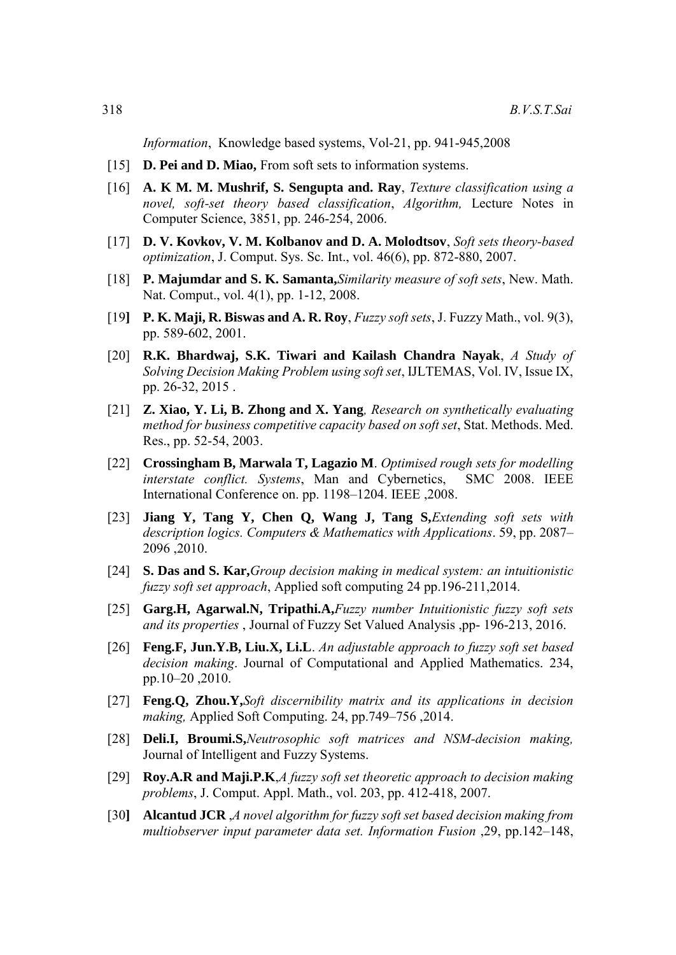*Information*, Knowledge based systems, Vol-21, pp. 941-945,2008

- [15] **D. Pei and D. Miao,** From soft sets to information systems.
- [16] **A. K M. M. Mushrif, S. Sengupta and. Ray**, *Texture classification using a novel, soft-set theory based classification*, *Algorithm,* Lecture Notes in Computer Science, 3851, pp. 246-254, 2006.
- [17] **D. V. Kovkov, V. M. Kolbanov and D. A. Molodtsov**, *Soft sets theory-based optimization*, J. Comput. Sys. Sc. Int., vol. 46(6), pp. 872-880, 2007.
- [18] **P. Majumdar and S. K. Samanta,***Similarity measure of soft sets*, New. Math. Nat. Comput., vol. 4(1), pp. 1-12, 2008.
- [19**] P. K. Maji, R. Biswas and A. R. Roy**, *Fuzzy soft sets*, J. Fuzzy Math., vol. 9(3), pp. 589-602, 2001.
- [20] **R.K. Bhardwaj, S.K. Tiwari and Kailash Chandra Nayak**, *A Study of Solving Decision Making Problem using soft set*, IJLTEMAS, Vol. IV, Issue IX, pp. 26-32, 2015 .
- [21] **Z. Xiao, Y. Li, B. Zhong and X. Yang***, Research on synthetically evaluating method for business competitive capacity based on soft set*, Stat. Methods. Med. Res., pp. 52-54, 2003.
- [22] **Crossingham B, Marwala T, Lagazio M**. *Optimised rough sets for modelling interstate conflict. Systems*, Man and Cybernetics, SMC 2008. IEEE International Conference on. pp. 1198–1204. IEEE ,2008.
- [23] **Jiang Y, Tang Y, Chen Q, Wang J, Tang S,***Extending soft sets with description logics. Computers & Mathematics with Applications*. 59, pp. 2087– 2096 ,2010.
- [24] **S. Das and S. Kar,***Group decision making in medical system: an intuitionistic fuzzy soft set approach*, Applied soft computing 24 pp.196-211,2014.
- [25] **Garg.H, Agarwal.N, Tripathi.A,***Fuzzy number Intuitionistic fuzzy soft sets and its properties* , Journal of Fuzzy Set Valued Analysis ,pp- 196-213, 2016.
- [26] **Feng.F, Jun.Y.B, Liu.X, Li.L**. *An adjustable approach to fuzzy soft set based decision making*. Journal of Computational and Applied Mathematics. 234, pp.10–20 ,2010.
- [27] **Feng.Q, Zhou.Y,***Soft discernibility matrix and its applications in decision making,* Applied Soft Computing. 24, pp.749–756 ,2014.
- [28] **Deli.I, Broumi.S,***Neutrosophic soft matrices and NSM-decision making,* Journal of Intelligent and Fuzzy Systems.
- [29] **Roy.A.R and Maji.P.K**,*A fuzzy soft set theoretic approach to decision making problems*, J. Comput. Appl. Math., vol. 203, pp. 412-418, 2007.
- [30**] Alcantud JCR** ,*A novel algorithm for fuzzy soft set based decision making from multiobserver input parameter data set. Information Fusion* ,29, pp.142–148,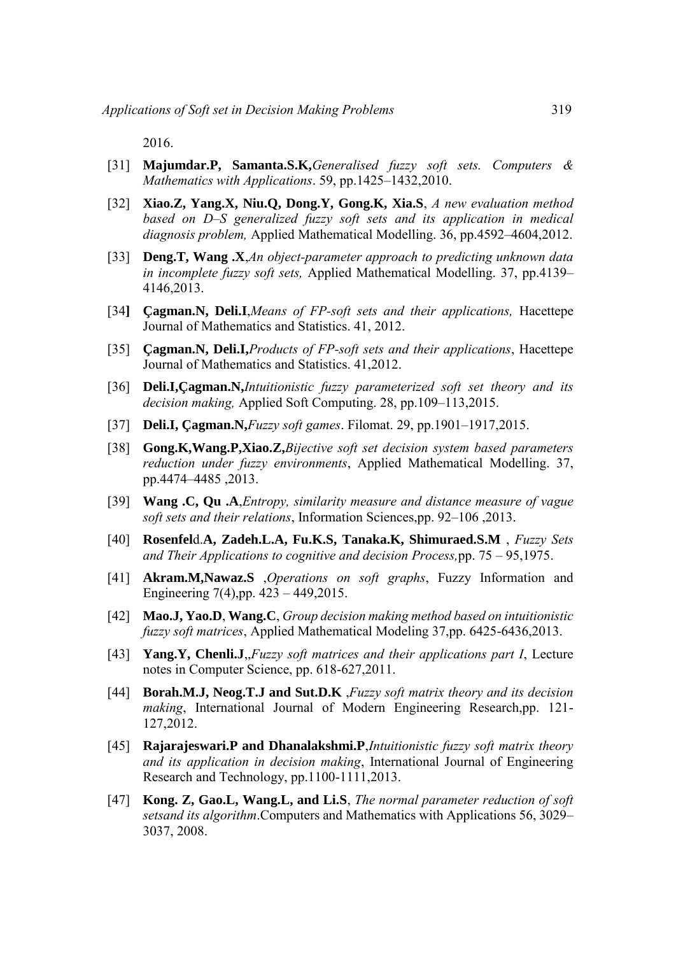2016.

- [31] **Majumdar.P, Samanta.S.K,***Generalised fuzzy soft sets. Computers & Mathematics with Applications*. 59, pp.1425–1432,2010.
- [32] **Xiao.Z, Yang.X, Niu.Q, Dong.Y, Gong.K, Xia.S**, *A new evaluation method based on D–S generalized fuzzy soft sets and its application in medical diagnosis problem,* Applied Mathematical Modelling. 36, pp.4592–4604,2012.
- [33] **Deng.T, Wang .X**,*An object-parameter approach to predicting unknown data in incomplete fuzzy soft sets,* Applied Mathematical Modelling. 37, pp.4139– 4146,2013.
- [34**] Çagman.N, Deli.I**,*Means of FP-soft sets and their applications,* Hacettepe Journal of Mathematics and Statistics. 41, 2012.
- [35] **Çagman.N, Deli.I,***Products of FP-soft sets and their applications*, Hacettepe Journal of Mathematics and Statistics. 41,2012.
- [36] **Deli.I,Çagman.N,***Intuitionistic fuzzy parameterized soft set theory and its decision making,* Applied Soft Computing. 28, pp.109–113,2015.
- [37] **Deli.I, Çagman.N,***Fuzzy soft games*. Filomat. 29, pp.1901–1917,2015.
- [38] **Gong.K,Wang.P,Xiao.Z,***Bijective soft set decision system based parameters reduction under fuzzy environments*, Applied Mathematical Modelling. 37, pp.4474–4485 ,2013.
- [39] **Wang .C, Qu .A**,*Entropy, similarity measure and distance measure of vague soft sets and their relations*, Information Sciences,pp. 92–106 ,2013.
- [40] **Rosenfel**d.**A, Zadeh.L.A, Fu.K.S, Tanaka.K, Shimuraed.S.M** , *Fuzzy Sets and Their Applications to cognitive and decision Process,*pp. 75 – 95,1975.
- [41] **Akram.M,Nawaz.S** ,*Operations on soft graphs*, Fuzzy Information and Engineering 7(4),pp. 423 – 449,2015.
- [42] **Mao.J, Yao.D**, **Wang.C**, *Group decision making method based on intuitionistic fuzzy soft matrices*, Applied Mathematical Modeling 37,pp. 6425-6436,2013.
- [43] **Yang.Y, Chenli.J**,,*Fuzzy soft matrices and their applications part I*, Lecture notes in Computer Science, pp. 618-627,2011.
- [44] **Borah.M.J, Neog.T.J and Sut.D.K** ,*Fuzzy soft matrix theory and its decision making*, International Journal of Modern Engineering Research,pp. 121- 127,2012.
- [45] **Rajarajeswari.P and Dhanalakshmi.P**,*Intuitionistic fuzzy soft matrix theory and its application in decision making*, International Journal of Engineering Research and Technology, pp.1100-1111,2013.
- [47] **Kong. Z, Gao.L, Wang.L, and Li.S**, *The normal parameter reduction of soft setsand its algorithm*.Computers and Mathematics with Applications 56, 3029– 3037, 2008.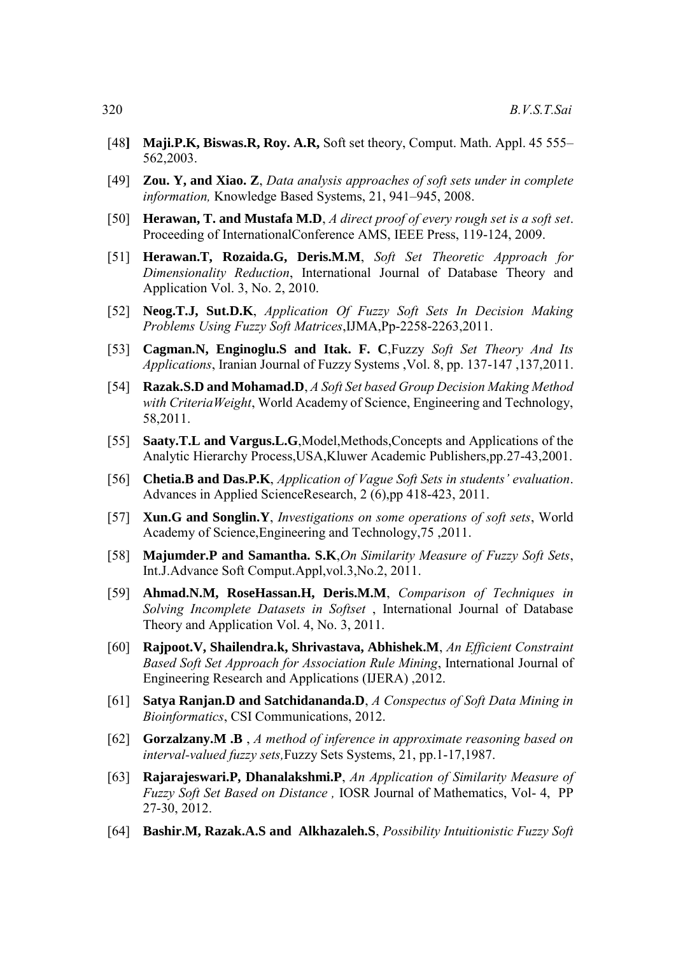- [48**] Maji.P.K, Biswas.R, Roy. A.R,** Soft set theory, Comput. Math. Appl. 45 555– 562,2003.
- [49] **Zou. Y, and Xiao. Z**, *Data analysis approaches of soft sets under in complete information,* Knowledge Based Systems, 21, 941–945, 2008.
- [50] **Herawan, T. and Mustafa M.D**, *A direct proof of every rough set is a soft set*. Proceeding of InternationalConference AMS, IEEE Press, 119-124, 2009.
- [51] **Herawan.T, Rozaida.G, Deris.M.M**, *Soft Set Theoretic Approach for Dimensionality Reduction*, International Journal of Database Theory and Application Vol. 3, No. 2, 2010.
- [52] **Neog.T.J, Sut.D.K**, *Application Of Fuzzy Soft Sets In Decision Making Problems Using Fuzzy Soft Matrices*,IJMA,Pp-2258-2263,2011.
- [53] **Cagman.N, Enginoglu.S and Itak. F. C**,Fuzzy *Soft Set Theory And Its Applications*, Iranian Journal of Fuzzy Systems ,Vol. 8, pp. 137-147 ,137,2011.
- [54] **Razak.S.D and Mohamad.D**, *A Soft Set based Group Decision Making Method with CriteriaWeight*, World Academy of Science, Engineering and Technology, 58,2011.
- [55] **Saaty.T.L and Vargus.L.G**,Model,Methods,Concepts and Applications of the Analytic Hierarchy Process,USA,Kluwer Academic Publishers,pp.27-43,2001.
- [56] **Chetia.B and Das.P.K**, *Application of Vague Soft Sets in students' evaluation*. Advances in Applied ScienceResearch, 2 (6),pp 418-423, 2011.
- [57] **Xun.G and Songlin.Y**, *Investigations on some operations of soft sets*, World Academy of Science,Engineering and Technology,75 ,2011.
- [58] **Majumder.P and Samantha. S.K**,*On Similarity Measure of Fuzzy Soft Sets*, Int.J.Advance Soft Comput.Appl,vol.3,No.2, 2011.
- [59] **Ahmad.N.M, RoseHassan.H, Deris.M.M**, *Comparison of Techniques in Solving Incomplete Datasets in Softset* , International Journal of Database Theory and Application Vol. 4, No. 3, 2011.
- [60] **Rajpoot.V, Shailendra.k, Shrivastava, Abhishek.M**, *An Efficient Constraint Based Soft Set Approach for Association Rule Mining*, International Journal of Engineering Research and Applications (IJERA) ,2012.
- [61] **Satya Ranjan.D and Satchidananda.D**, *A Conspectus of Soft Data Mining in Bioinformatics*, CSI Communications, 2012.
- [62] **Gorzalzany.M .B** , *A method of inference in approximate reasoning based on interval-valued fuzzy sets,*Fuzzy Sets Systems, 21, pp.1-17,1987.
- [63] **Rajarajeswari.P, Dhanalakshmi.P**, *An Application of Similarity Measure of Fuzzy Soft Set Based on Distance ,* IOSR Journal of Mathematics, Vol- 4, PP 27-30, 2012.
- [64] **Bashir.M, Razak.A.S and Alkhazaleh.S**, *Possibility Intuitionistic Fuzzy Soft*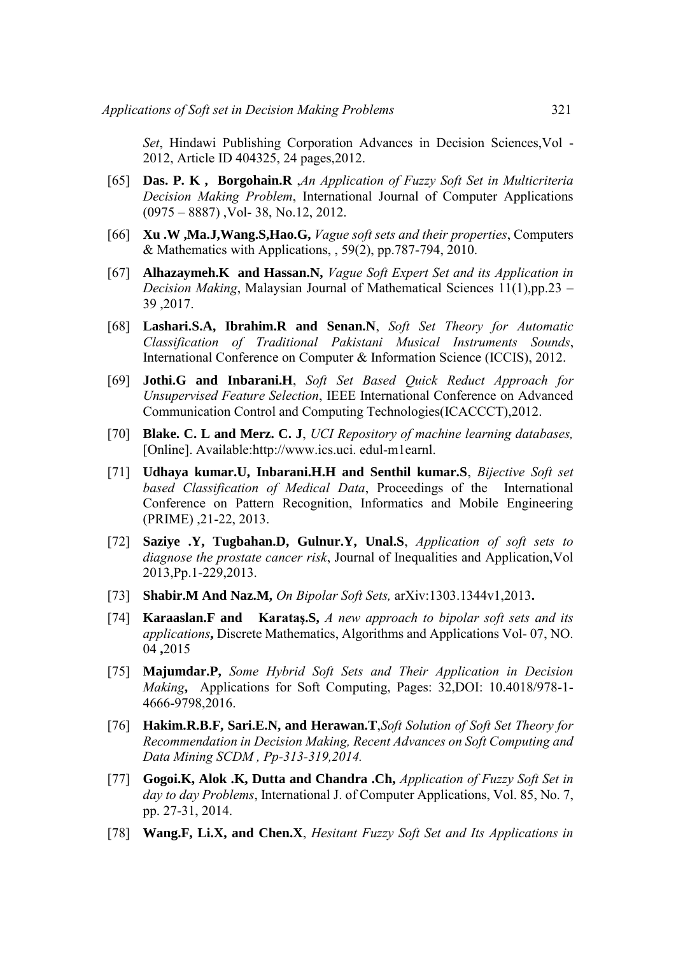*Set*, Hindawi Publishing Corporation Advances in Decision Sciences,Vol - 2012, Article ID 404325, 24 pages,2012.

- [65] **Das. P. K , Borgohain.R** ,*An Application of Fuzzy Soft Set in Multicriteria Decision Making Problem*, International Journal of Computer Applications (0975 – 8887) ,Vol- 38, No.12, 2012.
- [66] **Xu .W ,Ma.J,Wang.S,Hao.G,** *Vague soft sets and their properties*, Computers & Mathematics with Applications, , 59(2), pp.787-794, 2010.
- [67] **Alhazaymeh.K and Hassan.N,** *Vague Soft Expert Set and its Application in Decision Making*, Malaysian Journal of Mathematical Sciences 11(1),pp.23 – 39 ,2017.
- [68] **Lashari.S.A, Ibrahim.R and Senan.N**, *Soft Set Theory for Automatic Classification of Traditional Pakistani Musical Instruments Sounds*, International Conference on Computer & Information Science (ICCIS), 2012.
- [69] **Jothi.G and Inbarani.H**, *Soft Set Based Quick Reduct Approach for Unsupervised Feature Selection*, IEEE International Conference on Advanced Communication Control and Computing Technologies(ICACCCT),2012.
- [70] **Blake. C. L and Merz. C. J**, *UCI Repository of machine learning databases,* [Online]. Available:http://www.ics.uci. edul-m1earnl.
- [71] **Udhaya kumar.U, Inbarani.H.H and Senthil kumar.S**, *Bijective Soft set based Classification of Medical Data*, Proceedings of the International Conference on Pattern Recognition, Informatics and Mobile Engineering (PRIME) ,21-22, 2013.
- [72] **Saziye .Y, Tugbahan.D, Gulnur.Y, Unal.S**, *[Application of soft sets to](https://www.biomedcentral.com/openurl?doi=10.1186/1029-242X-2013-229)  [diagnose the prostate cancer risk](https://www.biomedcentral.com/openurl?doi=10.1186/1029-242X-2013-229)*, Journal of Inequalities and Application,Vol 2013,Pp.1-229,2013.
- [73] **Shabir.M And Naz.M,** *On Bipolar Soft Sets,* arXiv:1303.1344v1,2013**.**
- [74] **Karaaslan.F and [Karataş.](https://www.worldscientific.com/doi/pdf/10.1142/S1793830915500548)S,** *A new approach to bipolar soft sets and its applications***,** Discrete Mathematics, Algorithms and Applications Vol- 07, NO. 04 **,**2015
- [75] **Majumdar.P,** *Some Hybrid Soft Sets and Their Application in Decision Making***,** Applications for Soft Computing, Pages: 32,DOI: 10.4018/978-1- 4666-9798,2016.
- [76] **Hakim.R.B.F, Sari.E.N, and Herawan.T**,*Soft Solution of Soft Set Theory for Recommendation in Decision Making, Recent Advances on Soft Computing and Data Mining SCDM , Pp-313-319,2014.*
- [77] **Gogoi.K, Alok .K, Dutta and Chandra .Ch,** *Application of Fuzzy Soft Set in day to day Problems*, International J. of Computer Applications, Vol. 85, No. 7, pp. 27-31, 2014.
- [78] **Wang.F, Li.X, and Chen.X**, *Hesitant Fuzzy Soft Set and Its Applications in*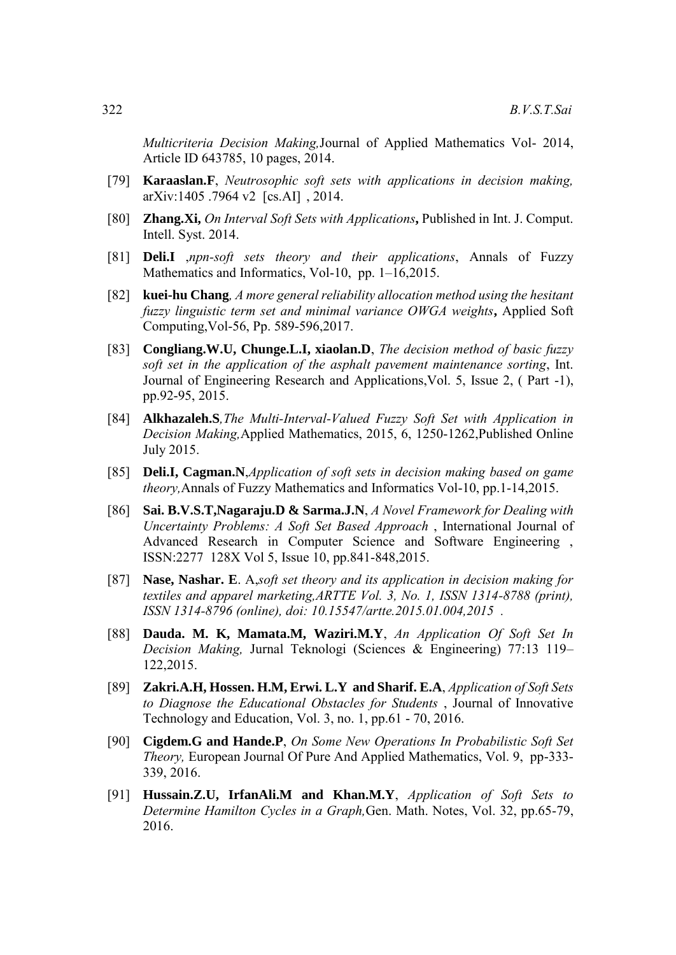*Multicriteria Decision Making,*Journal of Applied Mathematics Vol- 2014, Article ID 643785, 10 pages, 2014.

- [79] **Karaaslan.F**, *Neutrosophic soft sets with applications in decision making,*  arXiv:1405 .7964 v2 [cs.AI] , 2014.
- [80] **Zhang.Xi,** *On Interval Soft Sets with Applications***,** Published in Int. J. Comput. Intell. Syst. 2014.
- [81] **Deli.I** ,*npn-soft sets theory and their applications*, Annals of Fuzzy Mathematics and Informatics, Vol-10, pp. 1–16,2015.
- [82] **kuei-hu Chang***, A more general reliability allocation method using the hesitant fuzzy linguistic term set and minimal variance OWGA weights***,** Applied Soft Computing[,Vol-56,](https://www.sciencedirect.com/science/journal/15684946/56/supp/C) Pp. 589-596,2017.
- [83] **Congliang.W.U, Chunge.L.I, xiaolan.D**, *The decision method of basic fuzzy soft set in the application of the asphalt pavement maintenance sorting*, Int. Journal of Engineering Research and Applications,Vol. 5, Issue 2, ( Part -1), pp.92-95, 2015.
- [84] **Alkhazaleh.S***,The Multi-Interval-Valued Fuzzy Soft Set with Application in Decision Making,*Applied Mathematics, 2015, 6, 1250-1262,Published Online July 2015.
- [85] **Deli.I, Cagman.N**,*Application of soft sets in decision making based on game theory,*Annals of Fuzzy Mathematics and Informatics Vol-10, pp.1-14,2015.
- [86] **Sai. B.V.S.T,Nagaraju.D & Sarma.J.N**, *A Novel Framework for Dealing with Uncertainty Problems: A Soft Set Based Approach* , International Journal of Advanced Research in Computer Science and Software Engineering , ISSN:2277 128X Vol 5, Issue 10, pp.841-848,2015.
- [87] **Nase, Nashar. E**. A,*soft set theory and its application in decision making for textiles and apparel marketing,ARTTE Vol. 3, No. 1, ISSN 1314-8788 (print), ISSN 1314-8796 (online), doi: 10.15547/artte.2015.01.004,2015 .*
- [88] **Dauda. M. K, Mamata.M, Waziri.M.Y**, *An Application Of Soft Set In Decision Making,* Jurnal Teknologi (Sciences & Engineering) 77:13 119– 122,2015.
- [89] **Zakri.A.H, Hossen. H.M, Erwi. L.Y and Sharif. E.A**, *Application of Soft Sets to Diagnose the Educational Obstacles for Students* , Journal of Innovative Technology and Education, Vol. 3, no. 1, pp.61 - 70, 2016.
- [90] **Cigdem.G and Hande.P**, *On Some New Operations In Probabilistic Soft Set Theory,* European Journal Of Pure And Applied Mathematics, Vol. 9, pp-333- 339, 2016.
- [91] **Hussain.Z.U, IrfanAli.M and Khan.M.Y**, *Application of Soft Sets to Determine Hamilton Cycles in a Graph,*Gen. Math. Notes, Vol. 32, pp.65-79, 2016.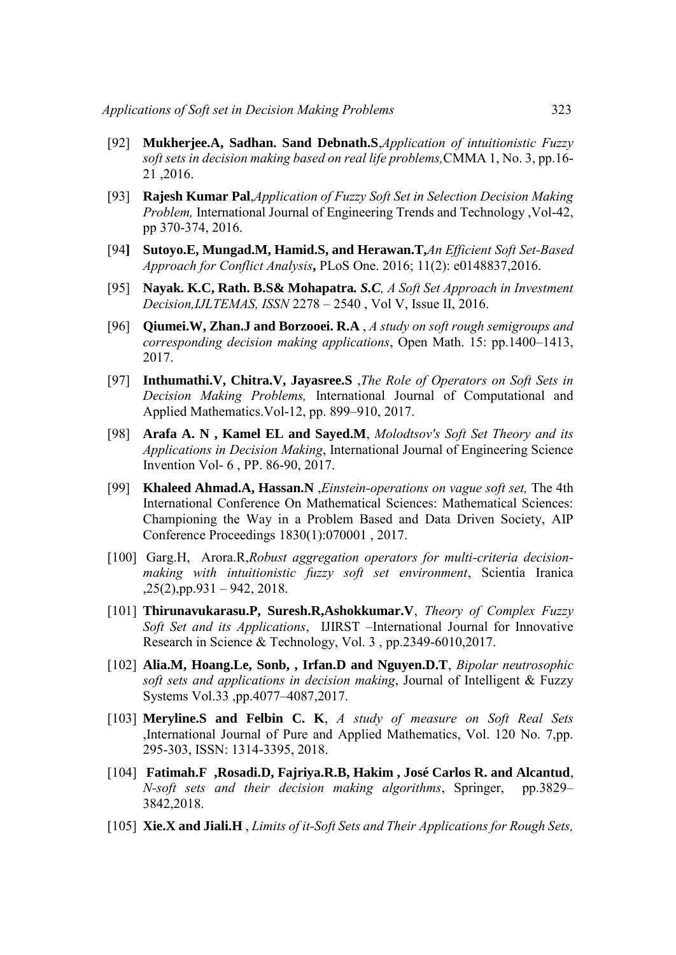- [92] **Mukherjee.A, Sadhan. Sand Debnath.S**,*Application of intuitionistic Fuzzy soft sets in decision making based on real life problems,*CMMA 1, No. 3, pp.16- 21 ,2016.
- [93] **Rajesh Kumar Pal**,*Application of Fuzzy Soft Set in Selection Decision Making Problem,* International Journal of Engineering Trends and Technology ,Vol-42, pp 370-374, 2016.
- [94**] [Sutoyo.](https://www.ncbi.nlm.nih.gov/pubmed/?term=Sutoyo%20E%5BAuthor%5D&cauthor=true&cauthor_uid=26928627)E, [Mungad.M,](https://www.ncbi.nlm.nih.gov/pubmed/?term=Mungad%20M%5BAuthor%5D&cauthor=true&cauthor_uid=26928627) [Hamid.](https://www.ncbi.nlm.nih.gov/pubmed/?term=Hamid%20S%5BAuthor%5D&cauthor=true&cauthor_uid=26928627)S, and [Herawan.](https://www.ncbi.nlm.nih.gov/pubmed/?term=Herawan%20T%5BAuthor%5D&cauthor=true&cauthor_uid=26928627)T,***An Efficient Soft Set-Based Approach for Conflict Analysis***,** PLoS One. 2016; 11(2): e0148837,2016.
- [95] **Nayak. K.C, Rath. B.S& Mohapatra***. S.C, A Soft Set Approach in Investment Decision,IJLTEMAS, ISSN* 2278 – 2540 , Vol V, Issue II, 2016.
- [96] **Qiumei.W, Zhan.J and Borzooei. R.A** , *A study on soft rough semigroups and corresponding decision making applications*, Open Math. 15: pp.1400–1413, 2017.
- [97] **Inthumathi.V, Chitra.V, Jayasree.S** ,*The Role of Operators on Soft Sets in Decision Making Problems,* International Journal of Computational and Applied Mathematics.Vol-12, pp. 899–910, 2017.
- [98] **Arafa A. N , Kamel EL and Sayed.M**, *Molodtsov's Soft Set Theory and its Applications in Decision Making*, International Journal of Engineering Science Invention Vol- 6 , PP. 86-90, 2017.
- [99] **Khaleed Ahmad.A, Hassan.N** ,*Einstein-operations on vague soft set,* The 4th International Conference On Mathematical Sciences: Mathematical Sciences: Championing the Way in a Problem Based and Data Driven Society, [AIP](https://www.researchgate.net/journal/1551-7616_AIP_Conference_Proceedings)  [Conference Proceedings](https://www.researchgate.net/journal/1551-7616_AIP_Conference_Proceedings) 1830(1):070001 , 2017.
- [100] [Garg.](https://www.researchgate.net/profile/Harish_Garg2)H, [Arora.](https://www.researchgate.net/profile/Rishu_Arora)R,*Robust aggregation operators for multi-criteria decisionmaking with intuitionistic fuzzy soft set environment*, [Scientia Iranica](https://www.researchgate.net/journal/1026-3098_Scientia_Iranica)  $,25(2), pp.931 - 942, 2018.$
- [101] **Thirunavukarasu.P, Suresh.R,Ashokkumar.V**, *Theory of Complex Fuzzy Soft Set and its Applications*, IJIRST –International Journal for Innovative Research in Science & Technology, Vol. 3 , pp.2349-6010,2017.
- [102] **Alia.M, Hoang.Le, Sonb, , Irfan.D and Nguyen.D.T**, *Bipolar neutrosophic soft sets and applications in decision making*, Journal of Intelligent & Fuzzy Systems Vol.33 ,pp.4077–4087,2017.
- [103] **Meryline.S and Felbin C. K**, *A study of measure on Soft Real Sets* ,International Journal of Pure and Applied Mathematics, Vol. 120 No. 7,pp. 295-303, ISSN: 1314-3395, 2018.
- [104] **[Fatimah.](https://link.springer.com/article/10.1007/s00500-017-2838-6#auth-1)F [,Rosadi.](https://link.springer.com/article/10.1007/s00500-017-2838-6#auth-2)D, [Fajriya.R.B, Hakim](https://link.springer.com/article/10.1007/s00500-017-2838-6#auth-3) , [José Carlos R. and Alcantud](https://link.springer.com/article/10.1007/s00500-017-2838-6#auth-4)**, *N-soft sets and their decision making algorithms*, Springer, pp.3829– 3842,2018.
- [105] **Xie.X and Jiali.H** , *Limits of it-Soft Sets and Their Applications for Rough Sets,*